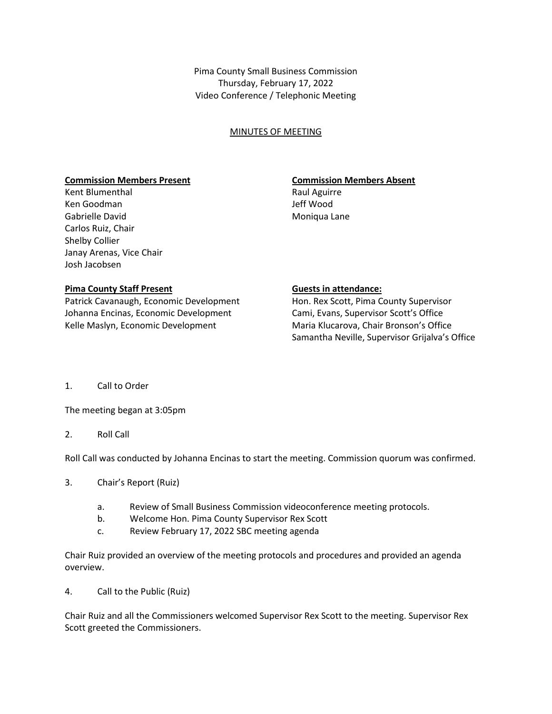Pima County Small Business Commission Thursday, February 17, 2022 Video Conference / Telephonic Meeting

## MINUTES OF MEETING

### **Commission Members Present Commission Members Absent**

Kent Blumenthal **Raul Aguirre** Raul Aguirre Ken Goodman Jeff Wood Gabrielle David **Moniqua Lane** Carlos Ruiz, Chair Shelby Collier Janay Arenas, Vice Chair Josh Jacobsen

### **Pima County Staff Present County Staff Present County Staff Present County Staff Present County Staff Present County Staff Present County Staff Present County Staff Present County Staff Present County Staff Present County**

Patrick Cavanaugh, Economic Development Hon. Rex Scott, Pima County Supervisor Johanna Encinas, Economic Development Cami, Evans, Supervisor Scott's Office Kelle Maslyn, Economic Development Maria Klucarova, Chair Bronson's Office

Samantha Neville, Supervisor Grijalva's Office

1. Call to Order

The meeting began at 3:05pm

2. Roll Call

Roll Call was conducted by Johanna Encinas to start the meeting. Commission quorum was confirmed.

- 3. Chair's Report (Ruiz)
	- a. Review of Small Business Commission videoconference meeting protocols.
	- b. Welcome Hon. Pima County Supervisor Rex Scott
	- c. Review February 17, 2022 SBC meeting agenda

Chair Ruiz provided an overview of the meeting protocols and procedures and provided an agenda overview.

4. Call to the Public (Ruiz)

Chair Ruiz and all the Commissioners welcomed Supervisor Rex Scott to the meeting. Supervisor Rex Scott greeted the Commissioners.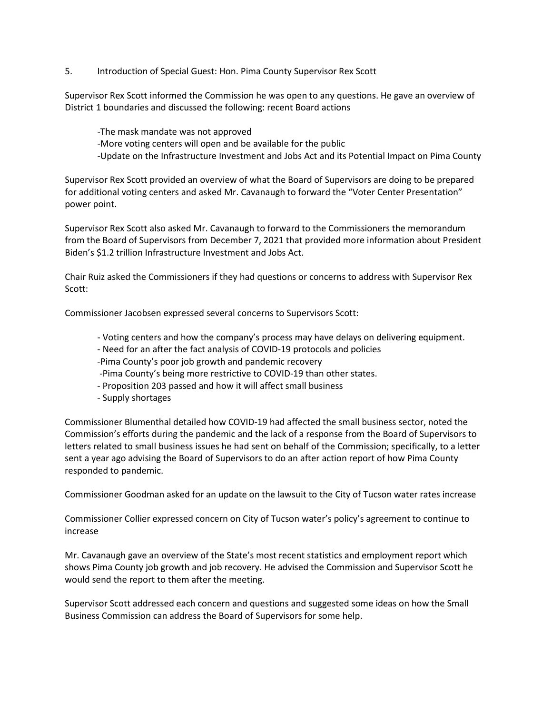5. Introduction of Special Guest: Hon. Pima County Supervisor Rex Scott

Supervisor Rex Scott informed the Commission he was open to any questions. He gave an overview of District 1 boundaries and discussed the following: recent Board actions

-The mask mandate was not approved -More voting centers will open and be available for the public -Update on the Infrastructure Investment and Jobs Act and its Potential Impact on Pima County

Supervisor Rex Scott provided an overview of what the Board of Supervisors are doing to be prepared for additional voting centers and asked Mr. Cavanaugh to forward the "Voter Center Presentation" power point.

Supervisor Rex Scott also asked Mr. Cavanaugh to forward to the Commissioners the memorandum from the Board of Supervisors from December 7, 2021 that provided more information about President Biden's \$1.2 trillion Infrastructure Investment and Jobs Act.

Chair Ruiz asked the Commissioners if they had questions or concerns to address with Supervisor Rex Scott:

Commissioner Jacobsen expressed several concerns to Supervisors Scott:

- Voting centers and how the company's process may have delays on delivering equipment.
- Need for an after the fact analysis of COVID-19 protocols and policies
- -Pima County's poor job growth and pandemic recovery
- -Pima County's being more restrictive to COVID-19 than other states.
- Proposition 203 passed and how it will affect small business
- Supply shortages

Commissioner Blumenthal detailed how COVID-19 had affected the small business sector, noted the Commission's efforts during the pandemic and the lack of a response from the Board of Supervisors to letters related to small business issues he had sent on behalf of the Commission; specifically, to a letter sent a year ago advising the Board of Supervisors to do an after action report of how Pima County responded to pandemic.

Commissioner Goodman asked for an update on the lawsuit to the City of Tucson water rates increase

Commissioner Collier expressed concern on City of Tucson water's policy's agreement to continue to increase

Mr. Cavanaugh gave an overview of the State's most recent statistics and employment report which shows Pima County job growth and job recovery. He advised the Commission and Supervisor Scott he would send the report to them after the meeting.

Supervisor Scott addressed each concern and questions and suggested some ideas on how the Small Business Commission can address the Board of Supervisors for some help.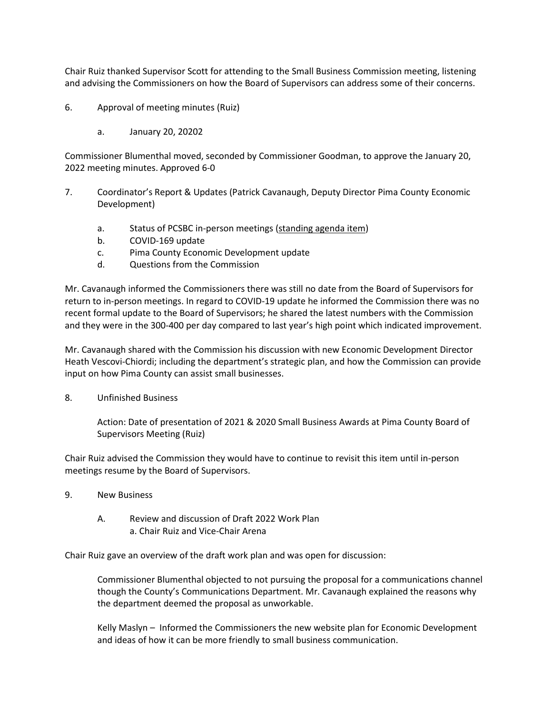Chair Ruiz thanked Supervisor Scott for attending to the Small Business Commission meeting, listening and advising the Commissioners on how the Board of Supervisors can address some of their concerns.

- 6. Approval of meeting minutes (Ruiz)
	- a. January 20, 20202

Commissioner Blumenthal moved, seconded by Commissioner Goodman, to approve the January 20, 2022 meeting minutes. Approved 6-0

- 7. Coordinator's Report & Updates (Patrick Cavanaugh, Deputy Director Pima County Economic Development)
	- a. Status of PCSBC in-person meetings (standing agenda item)
	- b. COVID-169 update
	- c. Pima County Economic Development update
	- d. Questions from the Commission

Mr. Cavanaugh informed the Commissioners there was still no date from the Board of Supervisors for return to in-person meetings. In regard to COVID-19 update he informed the Commission there was no recent formal update to the Board of Supervisors; he shared the latest numbers with the Commission and they were in the 300-400 per day compared to last year's high point which indicated improvement.

Mr. Cavanaugh shared with the Commission his discussion with new Economic Development Director Heath Vescovi-Chiordi; including the department's strategic plan, and how the Commission can provide input on how Pima County can assist small businesses.

8. Unfinished Business

Action: Date of presentation of 2021 & 2020 Small Business Awards at Pima County Board of Supervisors Meeting (Ruiz)

Chair Ruiz advised the Commission they would have to continue to revisit this item until in-person meetings resume by the Board of Supervisors.

- 9. New Business
	- A. Review and discussion of Draft 2022 Work Plan a. Chair Ruiz and Vice-Chair Arena

Chair Ruiz gave an overview of the draft work plan and was open for discussion:

Commissioner Blumenthal objected to not pursuing the proposal for a communications channel though the County's Communications Department. Mr. Cavanaugh explained the reasons why the department deemed the proposal as unworkable.

Kelly Maslyn – Informed the Commissioners the new website plan for Economic Development and ideas of how it can be more friendly to small business communication.